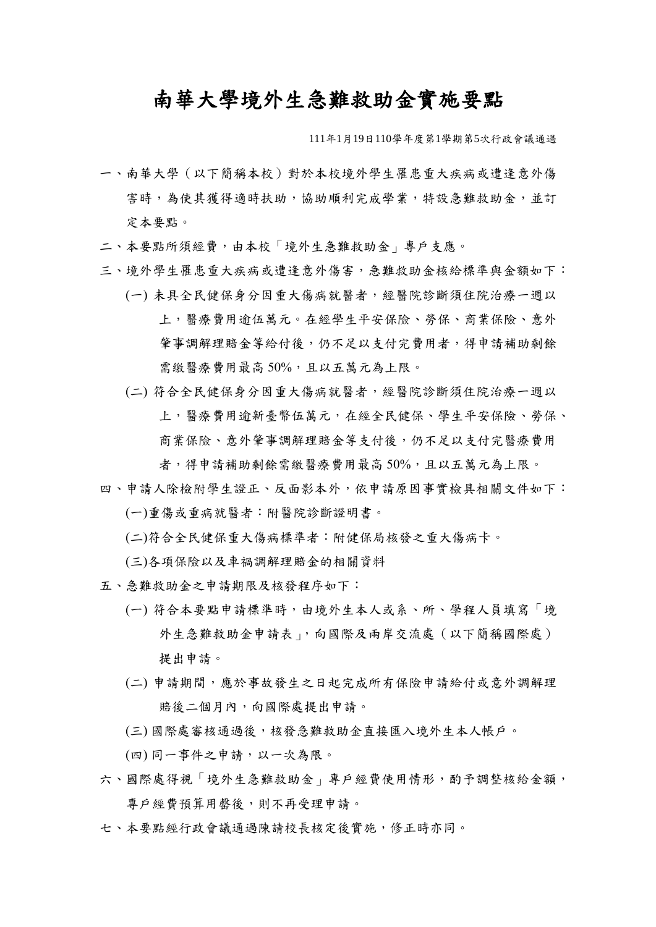## 南華大學境外生急難救助金實施要點

111年1月19日110學年度第1學期第5次行政會議通過

- 一、南華大學(以下簡稱本校)對於本校境外學生罹患重大疾病或遭逢意外傷 害時,為使其獲得適時扶助,協助順利完成學業,特設急難救助金,並訂 定本要點。
- 二、本要點所須經費,由本校「境外生急難救助金」專戶支應。
- 三、境外學生罹患重大疾病或遭逢意外傷害,急難救助金核給標準與金額如下:
	- (一) 未具全民健保身分因重大傷病就醫者,經醫院診斷須住院治療一週以 上,醫療費用逾伍萬元。在經學生平安保險、勞保、商業保險、意外 筆事調解理賠金等給付後,仍不足以支付完費用者,得申請補助剩餘 需繳醫療費用最高 50%,且以五萬元為上限。
	- (二) 符合全民健保身分因重大傷病就醫者,經醫院診斷須住院治療一週以 上,醫療費用逾新臺幣伍萬元,在經全民健保、學生平安保險、勞保、 商業保險、意外肇事調解理賠金等支付後,仍不足以支付完醫療費用

者,得申請補助剩餘需繳醫療費用最高 50%,且以五萬元為上限。 四、申請人除檢附學生證正、反面影本外,依申請原因事實檢具相關文件如下:

(一)重傷或重病就醫者:附醫院診斷證明書。

(二)符合全民健保重大傷病標準者:附健保局核發之重大傷病卡。

(三)各項保險以及車禍調解理賠金的相關資料

- 五、急難救助金之申請期限及核發程序如下:
	- (一) 符合本要點申請標準時,由境外生本人或系、所、學程人員填寫「境 外生急難救助金申請表」,向國際及兩岸交流處(以下簡稱國際處) 提出申請。
	- (二) 申請期間,應於事故發生之日起完成所有保險申請給付或意外調解理 賠後二個月內,向國際處提出申請。
	- (三) 國際處審核通過後,核發急難救助金直接匯入境外生本人帳戶。
	- (四) 同一事件之申請,以一次為限。
- 六、國際處得視「境外生急難救助金」專戶經費使用情形,酌予調整核給金額, 專戶經費預算用罄後,則不再受理申請。
- 七、本要點經行政會議通過陳請校長核定後實施,修正時亦同。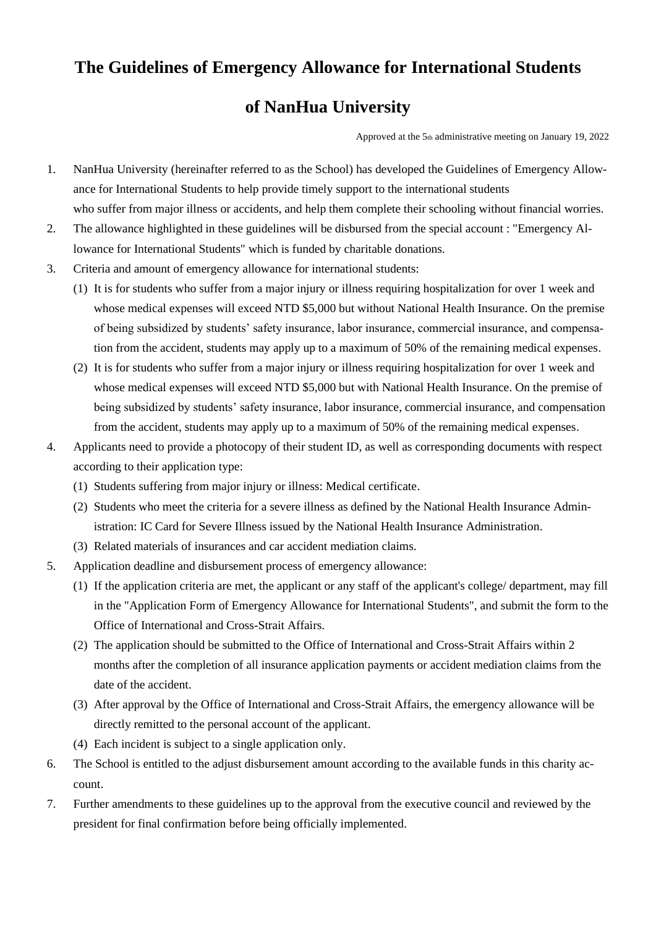## **The Guidelines of Emergency Allowance for International Students**

## **of NanHua University**

Approved at the 5th administrative meeting on January 19, 2022

- 1. NanHua University (hereinafter referred to as the School) has developed the Guidelines of Emergency Allowance for International Students to help provide timely support to the international students who suffer from major illness or accidents, and help them complete their schooling without financial worries.
- 2. The allowance highlighted in these guidelines will be disbursed from the special account : "Emergency Allowance for International Students" which is funded by charitable donations.
- 3. Criteria and amount of emergency allowance for international students:
	- (1) It is for students who suffer from a major injury or illness requiring hospitalization for over 1 week and whose medical expenses will exceed NTD \$5,000 but without National Health Insurance. On the premise of being subsidized by students' safety insurance, labor insurance, commercial insurance, and compensation from the accident, students may apply up to a maximum of 50% of the remaining medical expenses.
	- (2) It is for students who suffer from a major injury or illness requiring hospitalization for over 1 week and whose medical expenses will exceed NTD \$5,000 but with National Health Insurance. On the premise of being subsidized by students' safety insurance, labor insurance, commercial insurance, and compensation from the accident, students may apply up to a maximum of 50% of the remaining medical expenses.
- 4. Applicants need to provide a photocopy of their student ID, as well as corresponding documents with respect according to their application type:
	- (1) Students suffering from major injury or illness: Medical certificate.
	- (2) Students who meet the criteria for a severe illness as defined by the National Health Insurance Administration: IC Card for Severe Illness issued by the National Health Insurance Administration.
	- (3) Related materials of insurances and car accident mediation claims.
- 5. Application deadline and disbursement process of emergency allowance:
	- (1) If the application criteria are met, the applicant or any staff of the applicant's college/ department, may fill in the "Application Form of Emergency Allowance for International Students", and submit the form to the Office of International and Cross-Strait Affairs.
	- (2) The application should be submitted to the Office of International and Cross-Strait Affairs within 2 months after the completion of all insurance application payments or accident mediation claims from the date of the accident.
	- (3) After approval by the Office of International and Cross-Strait Affairs, the emergency allowance will be directly remitted to the personal account of the applicant.
	- (4) Each incident is subject to a single application only.
- 6. The School is entitled to the adjust disbursement amount according to the available funds in this charity account.
- 7. Further amendments to these guidelines up to the approval from the executive council and reviewed by the president for final confirmation before being officially implemented.